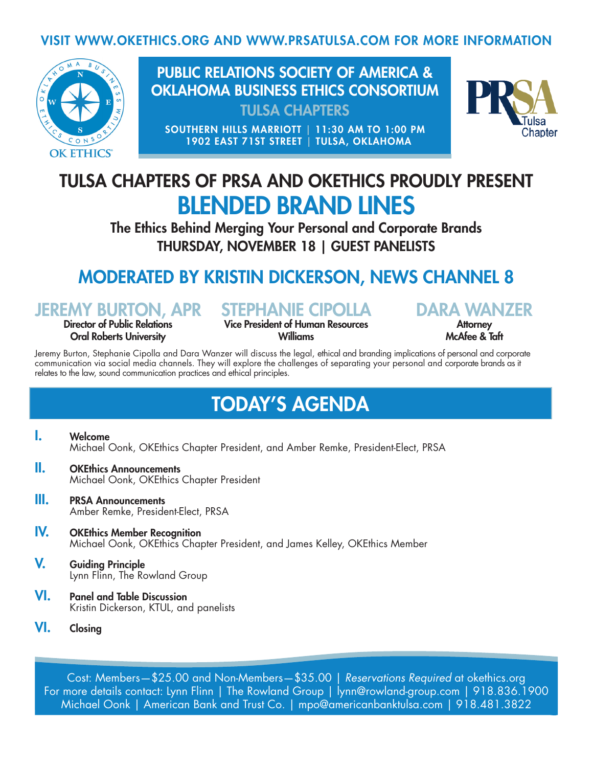#### VISIT WWW.OKETHICS.ORG AND WWW.PRSATULSA.COM FOR MORE INFORMATION



PUBLIC RELATIONS SOCIETY OF AMERICA & OKLAHOMA BUSINESS ETHICS CONSORTIUM TULSA CHAPTERS

SOUTHERN HILLS MARRIOTT | 11:30 AM TO 1:00 PM 1902 EAST 71ST STREET | TULSA, OKLAHOMA



## TULSA CHAPTERS OF PRSA AND OKETHICS PROUDLY PRESENT BLENDED BRAND LINES

The Ethics Behind Merging Your Personal and Corporate Brands THURSDAY, NOVEMBER 18 | GUEST PANELISTS

## MODERATED BY KRISTIN DICKERSON, NEWS CHANNEL 8

JEREMY BURTON, APR Director of Public Relations

Oral Roberts University

STEPHANIE CIPOLLA

Vice President of Human Resources Williams

DARA WANZER **Attorney** McAfee & Taft

Jeremy Burton, Stephanie Cipolla and Dara Wanzer will discuss the legal, ethical and branding implications of personal and corporate communication via social media channels. They will explore the challenges of separating your personal and corporate brands as it relates to the law, sound communication practices and ethical principles.

## TODAY'S AGENDA

I. Welcome Michael Oonk, OKEthics Chapter President, and Amber Remke, President-Elect, PRSA

- **II.** OKEthics Announcements Michael Oonk, OKEthics Chapter President
- **III.** PRSA Announcements Amber Remke, President-Elect, PRSA
- IV. OKEthics Member Recognition Michael Oonk, OKEthics Chapter President, and James Kelley, OKEthics Member
- V. Guiding Principle Lynn Flinn, The Rowland Group
- VI. Panel and Table Discussion Kristin Dickerson, KTUL, and panelists
- VI. Closing

Cost: Members—\$25.00 and Non-Members—\$35.00 | *Reservations Required* at okethics.org For more details contact: Lynn Flinn | The Rowland Group | lynn@rowland-group.com | 918.836.1900 Michael Oonk | American Bank and Trust Co. | mpo@americanbanktulsa.com | 918.481.3822